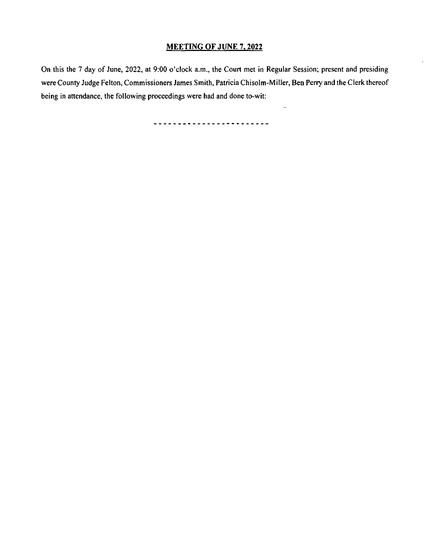## MEETING OF JUNE 7, 2022

On this the 7 day of June, 2022, at 9:00 o'clock a.m., the Court met in Regular Session; present and presiding were County Judge Felton, Commissioners James Smith, Patricia Chisolm- Miller, Ben Perry and the Clerk thereof being in attendance, the following proceedings were had and done to-wit:

 $\bar{\omega}$ 

-------------------------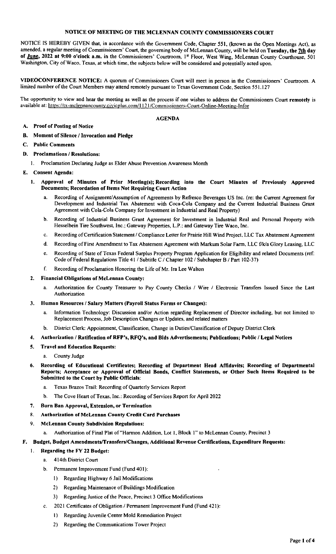# NOTICE OF MEETING OF THE MCLENNAN COUNTY COMMISSIONERS COURT

NOTICE IS HEREBY GIVEN that, in accordance with the Government Code, Chapter 551, ( known as the Open Meetings Act), as amended, a regular meeting of Commissioners' Court, the governing body of McLennan County, will be held on Tuesday, the 7th day of June, 2022 at 9:00 o'clock a.m. in the Commissioners' Courtroom, 1<sup>st</sup> Floor, West Wing, McLennan County Courthouse, 501 Washington, City of Waco, Texas, at which time, the subjects below will be considered and potentially acted upon.

VIDEOCONFERENCE NOTICE: A quorum of Commissioners Court will meet in person in the Commissioners' Courtroom. A limited number of the Court Members may attend remotely pursuant to Texas Government Code, Section 551. 127

The opportunity to view and hear the meeting as well as the process if one wishes to address the Commissioners Court remotely is available at: https://tx-mclennancounty.civicplus.com/1121/Commissioners-Court-Online-Meeting-Infor

### AGENDA

## A. Proof of Posting of Notice

- B. Moment of Silence/ Invocation and Pledge
- C. Public Comments
- D. Proclamations/ Resolutions:
	- 1. Proclamation Declaring Judge as Elder Abuse Prevention Awareness Month
- E. Consent Agenda:
	- 1. Approval of Minutes of Prior Meeting(s); Recording into the Court Minutes of Previously Approved Documents; Recordation of Items Not Requiring Court Action
		- a. Recording of Assignment/ Assumption of Agreements by Refresco Beverages US Inc. ( re: the Current Agreement for Development and Industrial Tax Abatement with Coca- Cola Company and the Current Industrial Business Grant Agreement with Cola-Cola Company for Investment in Industrial and Real Property)
		- b. Recording of Industrial Business Grant Agreement for Investment in Industrial Real and Personal Property with Hesselbein Tire Southwest, Inc.; Gateway Properties, L.P.; and Gateway Tire Waco, Inc.
		- c. Recording of Certification Statement/ Compliance Letter for Prairie Hill Wind Project, LLC Tax Abatement Agreement
		- d. Recording of First Amendment to Tax Abatement Agreement with Markum Solar Farm, LLC f/k/a Glory Leasing, LLC
		- e. Recording of State of Texas Federal Surplus Property Program Application for Eligibility and related Documents( ref: Code of Federal Regulations Title 41 / Subtitle C / Chapter 102 / Subchapter B / Part 102-37)
		- f. Recording of Proclamation Honoring the Life of Mr. Ira Lee Walton
	- 2. Financial Obligations of McLennan County:
		- a. Authorization for County Treasurer to Pay County Checks / Wire / Electronic Transfers Issued Since the Last Authorization
	- 3. Human Resources/ Salary Matters( Payroll Status Forms or Changes):
		- a. Information Technology: Discussion and/or Action regarding Replacement of Director including, but not limited to Replacement Process, Job Description Changes or Updates, and related matters
		- b. District Clerk: Appointment, Classification, Change in Duties/ Classification of Deputy District Clerk
	- 4. Authorization / Ratification of RFP's, RFQ's, and Bids Advertisements; Publications; Public / Legal Notices
	- 5. Travel and Education Requests:
		- a. County Judge
	- 6. Recording of Educational Certificates; Recording of Department Head Affidavits; Recording of Departmental Reports; Acceptance or Approval of Official Bonds, Conflict Statements, or Other Such Items Required to be Submitted to the Court by Public Officials:
		- a. Texas Brazos Trail: Recording of Quarterly Services Report
		- b. The Cove Heart of Texas, Inc.: Recording of Services Report for April 2022
	- 7. Burn Ban Approval, Extension, or Termination
	- 8. Authorization of McLennan County Credit Card Purchases
	- 9. McLennan County Subdivision Regulations:
		- a. Authorization of Final Plat of" Harmon Addition, Lot 1, Block 1" to McLennan County, Precinct 3

## F. Budget, Budget Amendments/Transfers/Changes, Additional Revenue Certifications, Expenditure Requests:

- 1. Regarding the FY 22 Budget:
	- a. 414th District Court
	- b. Permanent Improvement Fund (Fund 401):
		- I) Regarding Highway 6 Jail Modifications
		- 2) Regarding Maintenance of Buildings Modification
		- 3) Regarding Justice of the Peace, Precinct 3 Office Modifications
		- 2021 Certificates of Obligation / Permanent Improvement Fund (Fund 421):
		- I) Regarding Juvenile Center Mold Remediation Project
		- 2) Regarding the Communications Tower Project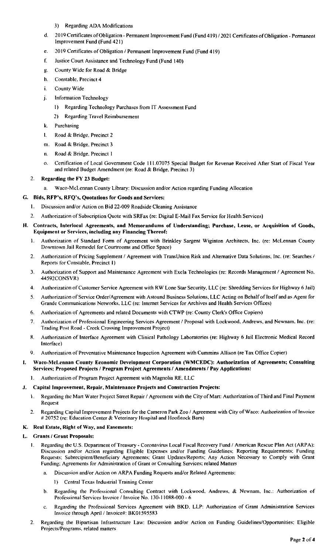## 3) Regarding ADA Modifications

- d. 2019 Certificates of Obligation Permanent Improvement Fund (Fund 419) / 2021 Certificates of Obligation Permanent Improvement Fund (Fund 421)
- e. 2019 Certificates of Obligation / Permanent Improvement Fund (Fund 419)
- f. Justice Court Assistance and Technology Fund (Fund 140)
- g. County Wide for Road& Bridge
- h. Constable. Precinct 4
- i. County Wide
- j. Information Technology
	- Regarding Technology Purchases from IT Assessment Fund
	- 2) Regarding Travel Reimbursement
- k. Purchasing
- I. Road& Bridge, Precinct 2
- m. Road& Bridge. Precinct 3
- n. Road& Bridge. Precinct I
- o. Certification of Local Government Code 111. 07075 Special Budget for Revenue Received After Start of Fiscal Year and related Budget Amendment (re: Road & Bridge, Precinct 3)

## 2. Regarding the FY 23 Budget:

Waco-McLennan County Library: Discussion and/or Action regarding Funding Allocation

## G. Bids, RFP's, RFQ's, Quotations for Goods and Services:

- 1. Discussion and/or Action on Bid 22-009 Roadside Cleaning Assistance
- 2. Authorization of Subscription Quote with SRFax ( re: Digital E- Mail Fax Service for Health Services)

## H. Contracts, Interlocal Agreements, and Memorandums of Understanding; Purchase, Lease, or Acquisition of Goods, Equipment or Services, including any Financing Thereof:

- 1. Authorization of Standard Form of Agreement with Brinkley Sargent Wiginton Architects, Inc. ( re: McLennan County Downtown Jail Remodel for Courtrooms and Office Space)
- 2. Authorization of Pricing Supplement / Agreement with TransUnion Risk and Alternative Data Solutions, Inc. (re: Searches / Reports for Constable, Precinct 1)
- 3. Authorization of Support and Maintenance Agreement with Exela Technologies (re: Records Management / Agreement No. 44592CONSVR)
- 4. Authorization of Customer Service Agreement with RW Lone Star Security, LLC( re: Shredding Services for Highway 6 Jail)
- 5. Authorization of Service Order/ Agreement with Astound Business Solutions, LLC Acting on Behalf of Itself and as Agent for Grande Communications Networks. LLC( re: Internet Services for Archives and Health Services Offices)
- 6. Authorization of Agreements and related Documents with CTWP( re: County Clerk's Office Copiers)
- 7. Authorization of Professional Engineering Services Agreement/ Proposal with Lockwood, Andrews, and Newnam. Inc. ( re: Trading Post Road- Creek Crossing Improvement Project)
- 8. Authorization of Interface Agreement with Clinical Pathology Laboratories (re: Highway 6 Jail Electronic Medical Record Interface)
- 9. Authorization of Preventative Maintenance Inspection Agreement with Cummins Allison (re Tax Office Copier)

### I. Waco-McLennan County Economic Development Corporation (WMCEDC): Authorization of Agreements; Consulting Services; Proposed Projects/ Program Project Agreements/ Amendments/ Pay Applications:

1. Authorization of Program Project Agreement with Magnolia RE, LLC

## J. Capital Improvement, Repair, Maintenance Projects and Construction Projects:

- 1. Regarding the Mart Water Project Street Repair/ Agreement with the City of Mart: Authorization of Third and Final Payment Request
- 2. Regarding Capital Improvement Projects for the Cameron Park Zoo/ Agreement with City of Waco: Authorization of Invoice # 20752 (re: Education Center & Veterinary Hospital and Hoofstock Barn)

## K. Real Estate, Right of Way, and Easements:

## L. Grants/ Grant Proposals:

- 1. Regarding the U.S. Department of Treasury Coronavirus Local Fiscal Recovery Fund / American Rescue Plan Act (ARPA): Discussion and/or Action regarding Eligible Expenses and/or Funding Guidelines; Reporting Requirements; Funding Requests: Subrecipient/ Beneficiary Agreements: Grant Updates/ Reports: Any Action Necessary to Comply with Grant Funding: Agreements for Administration of Grant or Consulting Services: related Matters
	- Discussion and/or Action on ARPA Funding Requests and/or Related Agreements:
		- I) Central Texas Industrial Training Center
	- b. Regarding the Professional Consulting Contract with Lockwood, Andrews. & Newnam, Inc.: Authorization of Professional Services Invoice / Invoice No. 130-11088-000 - 6
	- c. Regarding the Professional Services Agreement with BKD, LLP: Authorization of Grant Administration Services Invoice through April/ Invoice#: BK01595583
- 2. Regarding the Bipartisan Infrastructure Law: Discussion and/or Action on Funding Guidelines/Opportunities: Eligible Projects/Programs, related matters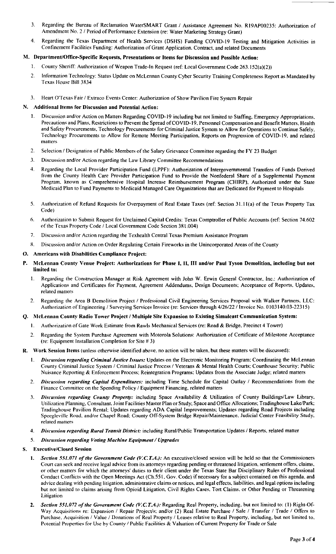- 3. Regarding the Bureau of Reclamation WaterSMART Grant / Assistance Agreement No. R19AP00235: Authorization of Amendment No. 2 / Period of Performance Extension (re: Water Marketing Strategy Grant)
- Regarding the Texas Department of Health Services (DSHS) Funding COVID-19 Testing and Mitigation Activities in Confinement Facilities Funding: Authorization of Grant Application. Contract, and related Documents

## M. Department/Office-Specific Requests, Presentations or Items for Discussion and Possible Action:

- 1. County Sheriff: Authorization of Weapon Trade-In Request ( ref: Local Government Code 263. 152( a)( 2))
- 2. Information Technology: Status Update on McLennan County Cyber Security Training Completeness Report as Mandated by Texas House Bill 3834
- 3. Heart O'Texas Fair / Extraco Events Center: Authorization of Show Pavilion Fire System Repair

### N. Additional Items for Discussion and Potential Action:

- 1. Discussion and/or Action on Matters Regarding COVID-19 including but not limited to Staffing, Emergency Appropriations. Precautions and Plans. Restrictions to Prevent the Spread of COVID- 19, Personnel Compensation and Benefit Matters. Health and Safety Procurements. Technology Procurements for Criminal Justice System to Allow for Operations to Continue Safely. Technology Procurements to Allow for Remote Meeting Participation. Reports on Progression of COVID- 19, and related matters
- 2. Selection / Designation of Public Members of the Salary Grievance Committee regarding the FY 23 Budget
- 3. Discussion and/or Action regarding the Law Library Committee Recommendations
- 4. Regarding the Local Provider Participation Fund (LPPF): Authorization of Intergovernmental Transfers of Funds Derived from the County Health Care Provider Participation Fund to Provide the Nonfederal Share of a Supplemental Payment Program. known as Comprehensive Hospital Increase Reimbursement Program (CHIRP), Authorized under the State Medicaid Plan to Fund Payments to Medicaid Managed Care Organizations that are Dedicated for Payment to Hospitals
- 5. Authorization of Refund Requests for Overpayment of Real Estate Taxes ( ref: Section 31. I 1( a) of the Texas Property Tax Code)
- 6. Authorization to Submit Request for Unclaimed Capital Credits: Texas Comptroller of Public Accounts( ref: Section 74. 602 of the Texas Property Code/ Local Government Code Section 381. 004)
- 7. Discussion and/or Action regarding the Texhealth Central Texas Premium Assistance Program
- 8. Discussion and/or Action on Order Regulating Certain Fireworks in the Unincorporated Areas of the County

### O. Americans with Disabilities Compliance Project:

- P. McLennan County Venue Project: Authorizations for Phase I, II, III and/or Paul Tyson Demolition, including but not limited to:
	- I. Regarding the Construction Manager at Risk Agreement with John W. Erwin General Contractor, Inc.: Authorization of Applications and Certificates for Payment, Agreement Addendums, Design Documents; Acceptance of Reports. Updates, related matters
	- 2. Regarding the Area B Demolition Project / Professional Civil Engineering Services Proposal with Walker Partners. LLC: Authorization of Engineering / Surveying Services Invoice (re: Services through 4/26/22 / Invoice No. 0103140.03-22315)

### Q. McLennan County Radio Tower Project/ Multiple Site Expansion to Existing Simulcast Communication System:

- 1. Authorization of Gate Work Estimate from Rawls Mechanical Services (re: Road & Bridge, Precinct 4 Tower)
- 2. Regarding the System Purchase Agreement with Motorola Solutions: Authorization of Certificate of Milestone Acceptance (re: Equipment Installation Completion for Site # 3)

### R. Work Session Items( unless otherwise identified above, no action will be taken, but these matters will be discussed):

- 1. Discussion regarding Criminal Justice Issues: Updates on the Electronic Monitoring Program: Coordinating the McLennan County Criminal Justice System/ Criminal Justice Process/ Veterans & Mental Health Courts: Courthouse Security: Public Nuisance Reporting& Enforcement Process: Reintegration Programs: Updates from the Associate Judge: related matters
- 2. Discussion regarding Capital Expenditures: including Time Schedule for Capital Outlay / Recommendations from the Finance Committee on the Spending Policy/ Equipment Financing, related matters
- 3. Discussion regarding County Property: including Space Availability & Utilization of County Buildings/Law Library, Utilization Planning, Consultant, Joint Facilities Master Plan or Study; Space and Office Allocations; Tradinghouse Lake/Park; Tradinghouse Pavilion Rental; Updates regarding ADA Capital Improvements; Updates regarding Road Projects including Speegleville Road. and/or Chapel Road; County Off-System Bridge Repair/Maintenance. Judicial Center Feasibility Study. related matters
- 4. Discussion regarding Rural Transit District: including Rural/Public Transportation Updates / Reports, related matter

### 5. Discussion regarding Voting Machine Equipment/ Upgrades

### S. Executive/Closed Session

- 1. Section 551.071 of the Government Code (V.C.T.A.): An executive/closed session will be held so that the Commissioners Court can seek and receive legal advice from its attorneys regarding pending or threatened litigation, settlement offers, claims. or other matters for which the attorneys' duties to their client under the Texas State Bar Disciplinary Rules of Professional Conduct Conflicts with the Open Meetings Act( Ch. 551, Gov. Code) if necessary for a subject contained on this agenda. and advice dealing with pending litigation, administrative claims or notices, and legal effects, liabilities, and legal options including but not limited to claims arising from Opioid Litigation. Civil Rights Cases. Tort Claims, or Other Pending or Threatening Litigation
- 2. Section 551.072 of the Government Code (V,C,T,A.): Regarding Real Property, including, but not limited to: (1) Right-Of-Way Acquisitions re: Expansion / Repair Project/s; and/or (2) Real Estate Purchase / Sale / Transfer / Trade / Offers to Purchase. Acquisition / Value / Donations of Real Property/ Leases relative to Real Property, including, but not limited to. Potential Properties for Use by County/ Public Facilities& Valuation of Current Property for Trade or Sale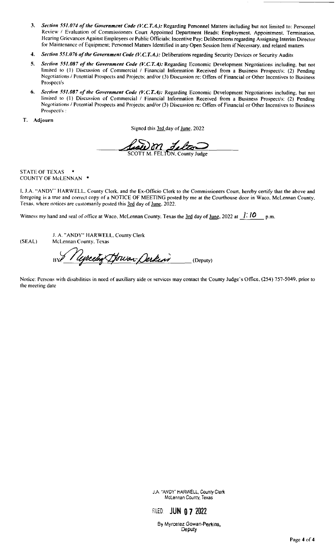- 3. Section 551.074 of the Government Code (V.C.T.A.): Regarding Personnel Matters including but not limited to: Personnel Review / Evaluation of Commissioners Court Appointed Department Heads; Employment, Appointment. Termination. Hearing Grievances Against Employees or Public Officials; Incentive Pay: Deliberations regarding Assigning Interim Director for Maintenance of Equipment: Personnel Matters Identified in any Open Session Item if Necessary, and related matters
- 4. Section 551.076 of the Government Code (V.C.T.A.): Deliberations regarding Security Devices or Security Audits
- 5. Section 551.087 of the Government Code (V.C.T.A): Regarding Economic Development Negotiations including, but not limited to (1) Discussion of Commercial / Financial Information Received from a Business Prospect/s: (2) Pending Negotiations/ Potential Prospects and Projects: and/or( 3) Discussion re: Offers of Financial or Other Incentives to Business Prospect/s
- 6. Section 551.087 of the Government Code (V.C.T.A): Regarding Economic Development Negotiations including, but not limited to (1) Discussion of Commercial / Financial Information Received from a Business Prospect/s: (2) Pending Negotiations / Potential Prospects and Projects; and/or (3) Discussion re: Offers of Financial or Other Incentives to Business Prospect/s :

T. Adjourn

Signed this 3rd day of June. 2022

 $m$ 

### STATE OF TEXAS COUNTY OF McLENNAN

I. J. A. " ANDY" HARWELL. County Clerk. and the Ex- Officio Clerk to the Commissioners Court. hereby certify that the above and foregoing is a true and correct copy of a NOTICE OF MEETING posted by me at the Courthouse door in Waco. McLennan County, Texas. where notices are customarily posted this 3rd day of June. 2022.

Witness my hand and seal of office at Waco. McLennan County. Texas the  $\frac{3rd}{1}$  day of <u>June</u>. 2022 at  $\frac{1}{16}$  in  $\frac{1}{16}$  p.m.

J. A. " ANDY" HARWELL. County Clerk (SEAL) McLennan County, Texas

Useretog Dowan-Derkins (Deputy)

Notice: Persons with disabilities in need of auxiliary aide or services may contact the County Judge's Office. (254) 757-5049, prior to the meeting date

> J.A. "ANDY" HARWELL, County Clerk McLennan County, Texas



By Myrcetez Gowan-Perkins, Deputy